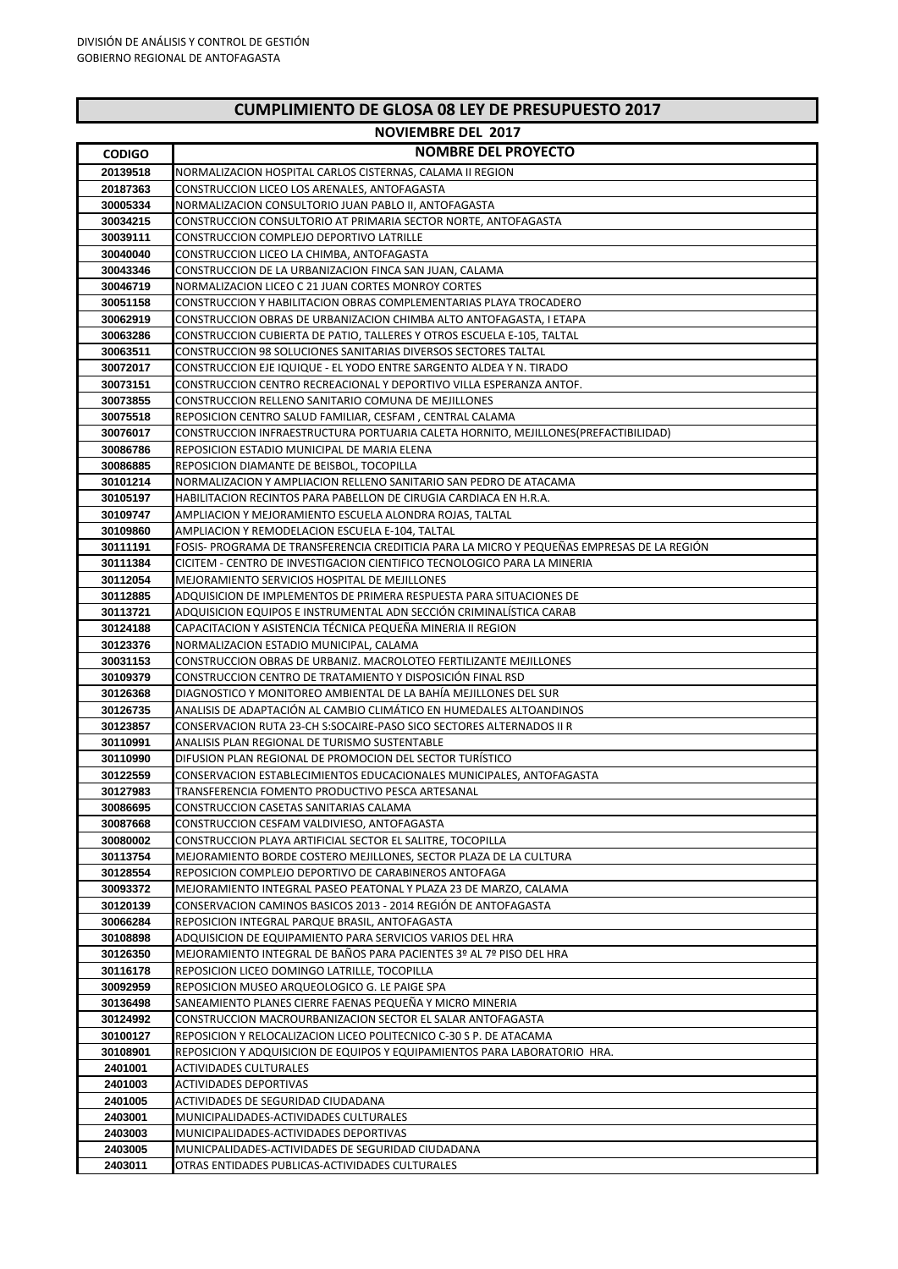## **CUMPLIMIENTO DE GLOSA 08 LEY DE PRESUPUESTO 2017**

## **NOVIEMBRE DEL 2017**

| <b>CODIGO</b>        | <b>NOMBRE DEL PROYECTO</b>                                                                 |
|----------------------|--------------------------------------------------------------------------------------------|
| 20139518             | NORMALIZACION HOSPITAL CARLOS CISTERNAS, CALAMA II REGION                                  |
| 20187363             | CONSTRUCCION LICEO LOS ARENALES, ANTOFAGASTA                                               |
| 30005334             | NORMALIZACION CONSULTORIO JUAN PABLO II, ANTOFAGASTA                                       |
| 30034215             | CONSTRUCCION CONSULTORIO AT PRIMARIA SECTOR NORTE, ANTOFAGASTA                             |
| 30039111             | CONSTRUCCION COMPLEJO DEPORTIVO LATRILLE                                                   |
| 30040040             | CONSTRUCCION LICEO LA CHIMBA, ANTOFAGASTA                                                  |
| 30043346             | CONSTRUCCION DE LA URBANIZACION FINCA SAN JUAN, CALAMA                                     |
| 30046719             | NORMALIZACION LICEO C 21 JUAN CORTES MONROY CORTES                                         |
| 30051158             | CONSTRUCCION Y HABILITACION OBRAS COMPLEMENTARIAS PLAYA TROCADERO                          |
| 30062919             | CONSTRUCCION OBRAS DE URBANIZACION CHIMBA ALTO ANTOFAGASTA, I ETAPA                        |
| 30063286             | CONSTRUCCION CUBIERTA DE PATIO, TALLERES Y OTROS ESCUELA E-105, TALTAL                     |
| 30063511             | <b>CONSTRUCCION 98 SOLUCIONES SANITARIAS DIVERSOS SECTORES TALTAL</b>                      |
| 30072017             | CONSTRUCCION EJE IQUIQUE - EL YODO ENTRE SARGENTO ALDEA Y N. TIRADO                        |
| 30073151             | CONSTRUCCION CENTRO RECREACIONAL Y DEPORTIVO VILLA ESPERANZA ANTOF.                        |
| 30073855             | CONSTRUCCION RELLENO SANITARIO COMUNA DE MEJILLONES                                        |
| 30075518             | REPOSICION CENTRO SALUD FAMILIAR, CESFAM, CENTRAL CALAMA                                   |
| 30076017             | CONSTRUCCION INFRAESTRUCTURA PORTUARIA CALETA HORNITO, MEJILLONES(PREFACTIBILIDAD)         |
| 30086786             | REPOSICION ESTADIO MUNICIPAL DE MARIA ELENA                                                |
| 30086885             | REPOSICION DIAMANTE DE BEISBOL, TOCOPILLA                                                  |
| 30101214             | NORMALIZACION Y AMPLIACION RELLENO SANITARIO SAN PEDRO DE ATACAMA                          |
| 30105197             | HABILITACION RECINTOS PARA PABELLON DE CIRUGIA CARDIACA EN H.R.A.                          |
| 30109747             | AMPLIACION Y MEJORAMIENTO ESCUELA ALONDRA ROJAS. TALTAL                                    |
| 30109860             | AMPLIACION Y REMODELACION ESCUELA E-104, TALTAL                                            |
| 30111191             | FOSIS- PROGRAMA DE TRANSFERENCIA CREDITICIA PARA LA MICRO Y PEQUEÑAS EMPRESAS DE LA REGIÓN |
| 30111384             | CICITEM - CENTRO DE INVESTIGACION CIENTIFICO TECNOLOGICO PARA LA MINERIA                   |
| 30112054             | MEJORAMIENTO SERVICIOS HOSPITAL DE MEJILLONES                                              |
| 30112885             | ADQUISICION DE IMPLEMENTOS DE PRIMERA RESPUESTA PARA SITUACIONES DE                        |
| 30113721             | ADQUISICION EQUIPOS E INSTRUMENTAL ADN SECCIÓN CRIMINALÍSTICA CARAB                        |
| 30124188             | CAPACITACION Y ASISTENCIA TÉCNICA PEQUEÑA MINERIA II REGION                                |
| 30123376             | NORMALIZACION ESTADIO MUNICIPAL, CALAMA                                                    |
| 30031153             | CONSTRUCCION OBRAS DE URBANIZ. MACROLOTEO FERTILIZANTE MEJILLONES                          |
| 30109379             | CONSTRUCCION CENTRO DE TRATAMIENTO Y DISPOSICIÓN FINAL RSD                                 |
| 30126368             | DIAGNOSTICO Y MONITOREO AMBIENTAL DE LA BAHÍA MEJILLONES DEL SUR                           |
| 30126735             | ANALISIS DE ADAPTACIÓN AL CAMBIO CLIMÁTICO EN HUMEDALES ALTOANDINOS                        |
| 30123857             | CONSERVACION RUTA 23-CH S:SOCAIRE-PASO SICO SECTORES ALTERNADOS II R                       |
| 30110991             | ANALISIS PLAN REGIONAL DE TURISMO SUSTENTABLE                                              |
| 30110990             | DIFUSION PLAN REGIONAL DE PROMOCION DEL SECTOR TURÍSTICO                                   |
| 30122559             | CONSERVACION ESTABLECIMIENTOS EDUCACIONALES MUNICIPALES, ANTOFAGASTA                       |
| 30127983             | TRANSFERENCIA FOMENTO PRODUCTIVO PESCA ARTESANAL                                           |
| 30086695<br>30087668 | CONSTRUCCION CASETAS SANITARIAS CALAMA<br>CONSTRUCCION CESFAM VALDIVIESO, ANTOFAGASTA      |
| 30080002             | CONSTRUCCION PLAYA ARTIFICIAL SECTOR EL SALITRE, TOCOPILLA                                 |
| 30113754             | MEJORAMIENTO BORDE COSTERO MEJILLONES, SECTOR PLAZA DE LA CULTURA                          |
| 30128554             | REPOSICION COMPLEJO DEPORTIVO DE CARABINEROS ANTOFAGA                                      |
| 30093372             | MEJORAMIENTO INTEGRAL PASEO PEATONAL Y PLAZA 23 DE MARZO, CALAMA                           |
| 30120139             | CONSERVACION CAMINOS BASICOS 2013 - 2014 REGIÓN DE ANTOFAGASTA                             |
| 30066284             | REPOSICION INTEGRAL PARQUE BRASIL, ANTOFAGASTA                                             |
| 30108898             | ADQUISICION DE EQUIPAMIENTO PARA SERVICIOS VARIOS DEL HRA                                  |
| 30126350             | MEJORAMIENTO INTEGRAL DE BAÑOS PARA PACIENTES 3º AL 7º PISO DEL HRA                        |
| 30116178             | REPOSICION LICEO DOMINGO LATRILLE, TOCOPILLA                                               |
| 30092959             | REPOSICION MUSEO ARQUEOLOGICO G. LE PAIGE SPA                                              |
| 30136498             | SANEAMIENTO PLANES CIERRE FAENAS PEQUEÑA Y MICRO MINERIA                                   |
| 30124992             | CONSTRUCCION MACROURBANIZACION SECTOR EL SALAR ANTOFAGASTA                                 |
| 30100127             | REPOSICION Y RELOCALIZACION LICEO POLITECNICO C-30 S P. DE ATACAMA                         |
| 30108901             | REPOSICION Y ADQUISICION DE EQUIPOS Y EQUIPAMIENTOS PARA LABORATORIO HRA.                  |
| 2401001              | <b>ACTIVIDADES CULTURALES</b>                                                              |
| 2401003              | <b>ACTIVIDADES DEPORTIVAS</b>                                                              |
| 2401005              | ACTIVIDADES DE SEGURIDAD CIUDADANA                                                         |
| 2403001              | MUNICIPALIDADES-ACTIVIDADES CULTURALES                                                     |
| 2403003              | MUNICIPALIDADES-ACTIVIDADES DEPORTIVAS                                                     |
| 2403005              | MUNICPALIDADES-ACTIVIDADES DE SEGURIDAD CIUDADANA                                          |
| 2403011              | OTRAS ENTIDADES PUBLICAS-ACTIVIDADES CULTURALES                                            |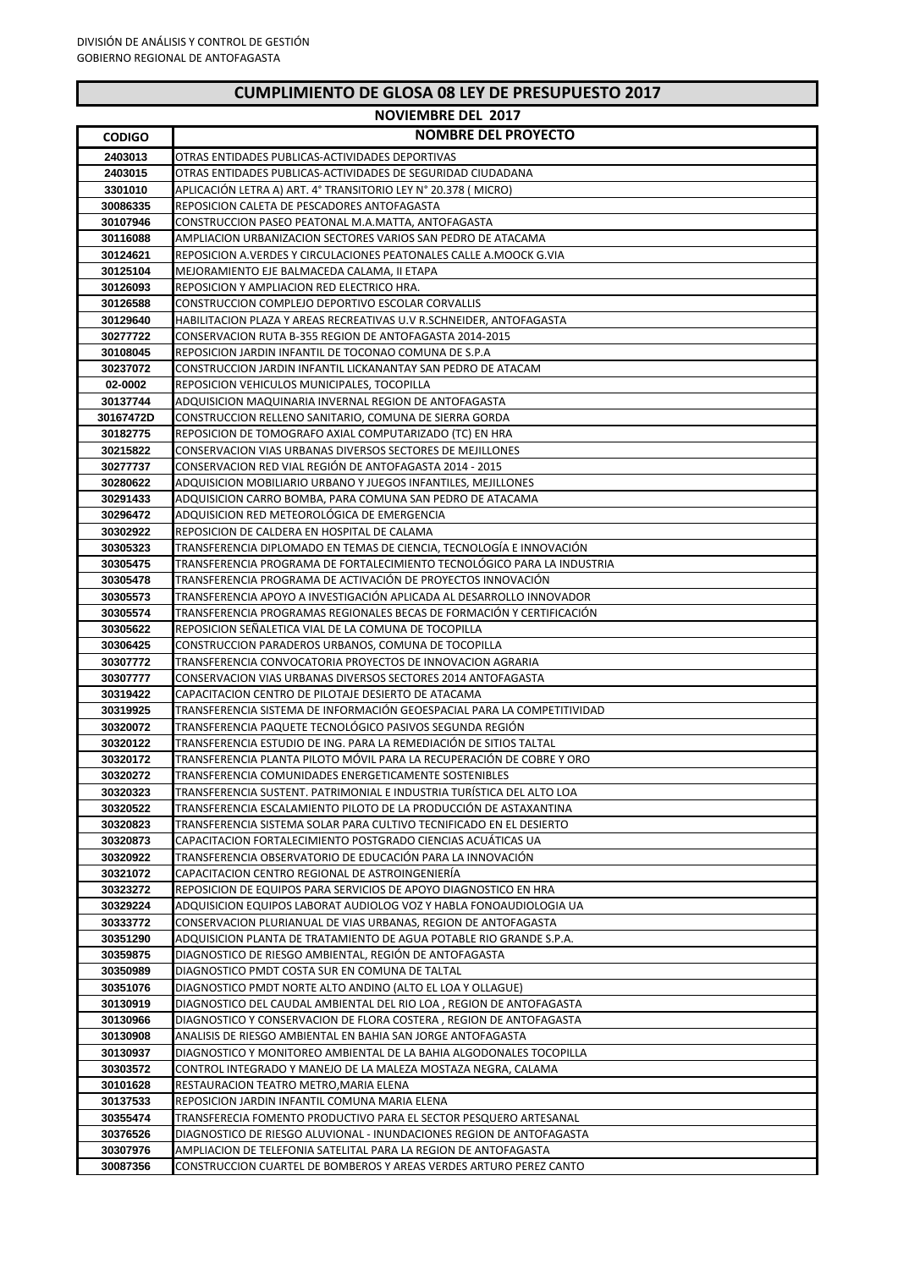|                      | <b>NOVIEMBRE DEL 2017</b>                                                                                                     |
|----------------------|-------------------------------------------------------------------------------------------------------------------------------|
| <b>CODIGO</b>        | <b>NOMBRE DEL PROYECTO</b>                                                                                                    |
| 2403013              | OTRAS ENTIDADES PUBLICAS-ACTIVIDADES DEPORTIVAS                                                                               |
| 2403015              | OTRAS ENTIDADES PUBLICAS-ACTIVIDADES DE SEGURIDAD CIUDADANA                                                                   |
| 3301010              | APLICACIÓN LETRA A) ART. 4° TRANSITORIO LEY N° 20.378 (MICRO)                                                                 |
| 30086335             | REPOSICION CALETA DE PESCADORES ANTOFAGASTA                                                                                   |
| 30107946             | CONSTRUCCION PASEO PEATONAL M.A.MATTA, ANTOFAGASTA                                                                            |
| 30116088             | AMPLIACION URBANIZACION SECTORES VARIOS SAN PEDRO DE ATACAMA                                                                  |
| 30124621             | REPOSICION A.VERDES Y CIRCULACIONES PEATONALES CALLE A.MOOCK G.VIA                                                            |
| 30125104             | MEJORAMIENTO EJE BALMACEDA CALAMA. II ETAPA                                                                                   |
| 30126093             | REPOSICION Y AMPLIACION RED ELECTRICO HRA.                                                                                    |
| 30126588             | CONSTRUCCION COMPLEJO DEPORTIVO ESCOLAR CORVALLIS                                                                             |
| 30129640             | HABILITACION PLAZA Y AREAS RECREATIVAS U.V R.SCHNEIDER, ANTOFAGASTA                                                           |
| 30277722             | CONSERVACION RUTA B-355 REGION DE ANTOFAGASTA 2014-2015                                                                       |
| 30108045             | REPOSICION JARDIN INFANTIL DE TOCONAO COMUNA DE S.P.A                                                                         |
| 30237072             | CONSTRUCCION JARDIN INFANTIL LICKANANTAY SAN PEDRO DE ATACAM                                                                  |
| 02-0002              | REPOSICION VEHICULOS MUNICIPALES, TOCOPILLA                                                                                   |
| 30137744             | ADQUISICION MAQUINARIA INVERNAL REGION DE ANTOFAGASTA                                                                         |
| 30167472D            | CONSTRUCCION RELLENO SANITARIO, COMUNA DE SIERRA GORDA                                                                        |
| 30182775             | REPOSICION DE TOMOGRAFO AXIAL COMPUTARIZADO (TC) EN HRA                                                                       |
| 30215822             | <b>CONSERVACION VIAS URBANAS DIVERSOS SECTORES DE MEJILLONES</b>                                                              |
| 30277737             | CONSERVACION RED VIAL REGIÓN DE ANTOFAGASTA 2014 - 2015                                                                       |
| 30280622             | ADQUISICION MOBILIARIO URBANO Y JUEGOS INFANTILES, MEJILLONES                                                                 |
| 30291433             | ADQUISICION CARRO BOMBA, PARA COMUNA SAN PEDRO DE ATACAMA                                                                     |
| 30296472             | ADQUISICION RED METEOROLÓGICA DE EMERGENCIA                                                                                   |
| 30302922             | REPOSICION DE CALDERA EN HOSPITAL DE CALAMA                                                                                   |
| 30305323             | TRANSFERENCIA DIPLOMADO EN TEMAS DE CIENCIA, TECNOLOGÍA E INNOVACIÓN                                                          |
| 30305475             | TRANSFERENCIA PROGRAMA DE FORTALECIMIENTO TECNOLOGICO PARA LA INDUSTRIA                                                       |
| 30305478             | TRANSFERENCIA PROGRAMA DE ACTIVACIÓN DE PROYECTOS INNOVACIÓN                                                                  |
| 30305573             | TRANSFERENCIA APOYO A INVESTIGACIÓN APLICADA AL DESARROLLO INNOVADOR                                                          |
| 30305574             | TRANSFERENCIA PROGRAMAS REGIONALES BECAS DE FORMACIÓN Y CERTIFICACIÓN<br>REPOSICION SEÑALETICA VIAL DE LA COMUNA DE TOCOPILLA |
| 30305622<br>30306425 | CONSTRUCCION PARADEROS URBANOS, COMUNA DE TOCOPILLA                                                                           |
| 30307772             | TRANSFERENCIA CONVOCATORIA PROYECTOS DE INNOVACION AGRARIA                                                                    |
| 30307777             | CONSERVACION VIAS URBANAS DIVERSOS SECTORES 2014 ANTOFAGASTA                                                                  |
| 30319422             | CAPACITACION CENTRO DE PILOTAJE DESIERTO DE ATACAMA                                                                           |
| 30319925             | TRANSFERENCIA SISTEMA DE INFORMACIÓN GEOESPACIAL PARA LA COMPETITIVIDAD                                                       |
| 30320072             | TRANSFERENCIA PAQUETE TECNOLOGICO PASIVOS SEGUNDA REGIÓN                                                                      |
| 30320122             | TRANSFERENCIA ESTUDIO DE ING. PARA LA REMEDIACIÓN DE SITIOS TALTAL                                                            |
| 30320172             | TRANSFERENCIA PLANTA PILOTO MÓVIL PARA LA RECUPERACIÓN DE COBRE Y ORO                                                         |
| 30320272             | TRANSFERENCIA COMUNIDADES ENERGETICAMENTE SOSTENIBLES                                                                         |
| 30320323             | TRANSFERENCIA SUSTENT. PATRIMONIAL E INDUSTRIA TURÍSTICA DEL ALTO LOA                                                         |
| 30320522             | TRANSFERENCIA ESCALAMIENTO PILOTO DE LA PRODUCCIÓN DE ASTAXANTINA                                                             |
| 30320823             | TRANSFERENCIA SISTEMA SOLAR PARA CULTIVO TECNIFICADO EN EL DESIERTO                                                           |
| 30320873             | CAPACITACION FORTALECIMIENTO POSTGRADO CIENCIAS ACUÁTICAS UA                                                                  |
| 30320922             | TRANSFERENCIA OBSERVATORIO DE EDUCACIÓN PARA LA INNOVACIÓN                                                                    |
| 30321072             | CAPACITACION CENTRO REGIONAL DE ASTROINGENIERÍA                                                                               |
| 30323272             | REPOSICION DE EQUIPOS PARA SERVICIOS DE APOYO DIAGNOSTICO EN HRA                                                              |
| 30329224             | ADQUISICION EQUIPOS LABORAT AUDIOLOG VOZ Y HABLA FONOAUDIOLOGIA UA                                                            |
| 30333772             | CONSERVACION PLURIANUAL DE VIAS URBANAS, REGION DE ANTOFAGASTA                                                                |
| 30351290             | ADQUISICION PLANTA DE TRATAMIENTO DE AGUA POTABLE RIO GRANDE S.P.A.                                                           |
| 30359875             | DIAGNOSTICO DE RIESGO AMBIENTAL, REGIÓN DE ANTOFAGASTA                                                                        |
| 30350989             | DIAGNOSTICO PMDT COSTA SUR EN COMUNA DE TALTAL                                                                                |
| 30351076             | DIAGNOSTICO PMDT NORTE ALTO ANDINO (ALTO EL LOA Y OLLAGUE)                                                                    |
| 30130919             | DIAGNOSTICO DEL CAUDAL AMBIENTAL DEL RIO LOA, REGION DE ANTOFAGASTA                                                           |
| 30130966             | DIAGNOSTICO Y CONSERVACION DE FLORA COSTERA, REGION DE ANTOFAGASTA                                                            |
| 30130908             | ANALISIS DE RIESGO AMBIENTAL EN BAHIA SAN JORGE ANTOFAGASTA                                                                   |
| 30130937             | DIAGNOSTICO Y MONITOREO AMBIENTAL DE LA BAHIA ALGODONALES TOCOPILLA                                                           |
| 30303572             | CONTROL INTEGRADO Y MANEJO DE LA MALEZA MOSTAZA NEGRA, CALAMA                                                                 |
| 30101628             | RESTAURACION TEATRO METRO, MARIA ELENA                                                                                        |
| 30137533             | REPOSICION JARDIN INFANTIL COMUNA MARIA ELENA                                                                                 |
| 30355474             | TRANSFERECIA FOMENTO PRODUCTIVO PARA EL SECTOR PESQUERO ARTESANAL                                                             |
| 30376526             | DIAGNOSTICO DE RIESGO ALUVIONAL - INUNDACIONES REGION DE ANTOFAGASTA                                                          |
| 30307976             | AMPLIACION DE TELEFONIA SATELITAL PARA LA REGION DE ANTOFAGASTA                                                               |
| 30087356             | CONSTRUCCION CUARTEL DE BOMBEROS Y AREAS VERDES ARTURO PEREZ CANTO                                                            |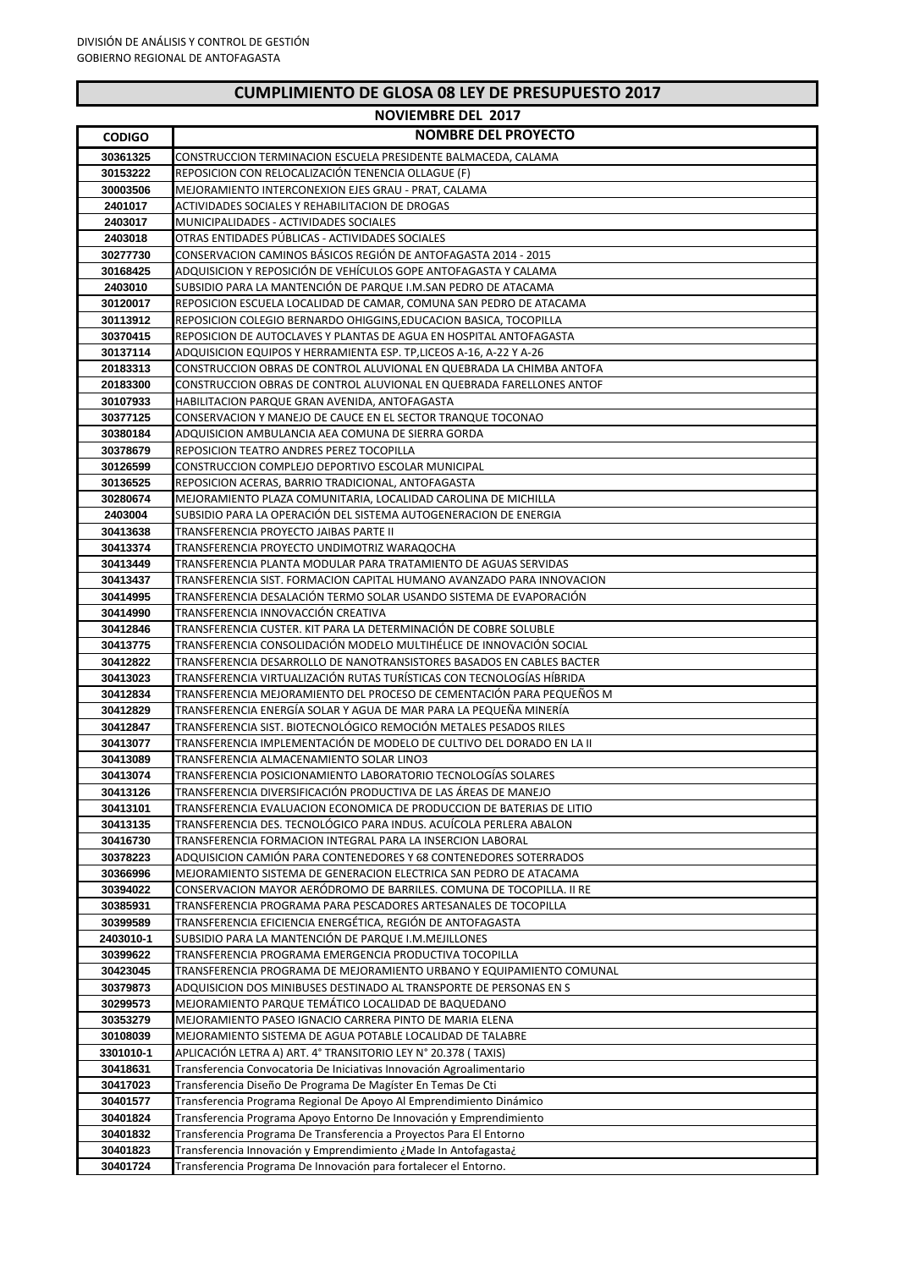| <b>NOVIEMBRE DEL 2017</b> |                                                                                                                                         |
|---------------------------|-----------------------------------------------------------------------------------------------------------------------------------------|
| <b>CODIGO</b>             | <b>NOMBRE DEL PROYECTO</b>                                                                                                              |
| 30361325                  | CONSTRUCCION TERMINACION ESCUELA PRESIDENTE BALMACEDA, CALAMA                                                                           |
| 30153222                  | REPOSICION CON RELOCALIZACIÓN TENENCIA OLLAGUE (F)                                                                                      |
| 30003506                  | MEJORAMIENTO INTERCONEXION EJES GRAU - PRAT, CALAMA                                                                                     |
| 2401017                   | ACTIVIDADES SOCIALES Y REHABILITACION DE DROGAS                                                                                         |
| 2403017                   | MUNICIPALIDADES - ACTIVIDADES SOCIALES                                                                                                  |
| 2403018                   | OTRAS ENTIDADES PUBLICAS - ACTIVIDADES SOCIALES                                                                                         |
| 30277730                  | CONSERVACION CAMINOS BÁSICOS REGIÓN DE ANTOFAGASTA 2014 - 2015                                                                          |
| 30168425                  | ADQUISICION Y REPOSICIÓN DE VEHÍCULOS GOPE ANTOFAGASTA Y CALAMA                                                                         |
| 2403010<br>30120017       | SUBSIDIO PARA LA MANTENCIÓN DE PARQUE I.M.SAN PEDRO DE ATACAMA<br>REPOSICION ESCUELA LOCALIDAD DE CAMAR, COMUNA SAN PEDRO DE ATACAMA    |
| 30113912                  | REPOSICION COLEGIO BERNARDO OHIGGINS, EDUCACION BASICA, TOCOPILLA                                                                       |
| 30370415                  | REPOSICION DE AUTOCLAVES Y PLANTAS DE AGUA EN HOSPITAL ANTOFAGASTA                                                                      |
| 30137114                  | ADQUISICION EQUIPOS Y HERRAMIENTA ESP. TP, LICEOS A-16, A-22 Y A-26                                                                     |
| 20183313                  | CONSTRUCCION OBRAS DE CONTROL ALUVIONAL EN QUEBRADA LA CHIMBA ANTOFA                                                                    |
| 20183300                  | CONSTRUCCION OBRAS DE CONTROL ALUVIONAL EN QUEBRADA FARELLONES ANTOF                                                                    |
| 30107933                  | HABILITACION PARQUE GRAN AVENIDA, ANTOFAGASTA                                                                                           |
| 30377125                  | CONSERVACION Y MANEJO DE CAUCE EN EL SECTOR TRANQUE TOCONAO                                                                             |
| 30380184                  | ADQUISICION AMBULANCIA AEA COMUNA DE SIERRA GORDA                                                                                       |
| 30378679<br>30126599      | REPOSICION TEATRO ANDRES PEREZ TOCOPILLA<br>CONSTRUCCION COMPLEJO DEPORTIVO ESCOLAR MUNICIPAL                                           |
| 30136525                  | REPOSICION ACERAS, BARRIO TRADICIONAL, ANTOFAGASTA                                                                                      |
| 30280674                  | MEJORAMIENTO PLAZA COMUNITARIA, LOCALIDAD CAROLINA DE MICHILLA                                                                          |
| 2403004                   | SUBSIDIO PARA LA OPERACIÓN DEL SISTEMA AUTOGENERACIÓN DE ENERGIA                                                                        |
| 30413638                  | TRANSFERENCIA PROYECTO JAIBAS PARTE II                                                                                                  |
| 30413374                  | TRANSFERENCIA PROYECTO UNDIMOTRIZ WARAQOCHA                                                                                             |
| 30413449                  | TRANSFERENCIA PLANTA MODULAR PARA TRATAMIENTO DE AGUAS SERVIDAS                                                                         |
| 30413437                  | TRANSFERENCIA SIST. FORMACION CAPITAL HUMANO AVANZADO PARA INNOVACION                                                                   |
| 30414995                  | TRANSFERENCIA DESALACIÓN TERMO SOLAR USANDO SISTEMA DE EVAPORACIÓN                                                                      |
| 30414990                  | TRANSFERENCIA INNOVACCIÓN CREATIVA                                                                                                      |
| 30412846<br>30413775      | TRANSFERENCIA CUSTER. KIT PARA LA DETERMINACIÓN DE COBRE SOLUBLE<br>TRANSFERENCIA CONSOLIDACIÓN MODELO MULTIHÉLICE DE INNOVACIÓN SOCIAL |
| 30412822                  | TRANSFERENCIA DESARROLLO DE NANOTRANSISTORES BASADOS EN CABLES BACTER                                                                   |
| 30413023                  | TRANSFERENCIA VIRTUALIZACIÓN RUTAS TURÍSTICAS CON TECNOLOGÍAS HÍBRIDA                                                                   |
| 30412834                  | TRANSFERENCIA MEJORAMIENTO DEL PROCESO DE CEMENTACIÓN PARA PEQUEÑOS M                                                                   |
| 30412829                  | TRANSFERENCIA ENERGÍA SOLAR Y AGUA DE MAR PARA LA PEQUEÑA MINERÍA                                                                       |
| 30412847                  | TRANSFERENCIA SIST. BIOTECNOLOGICO REMOCIÓN METALES PESADOS RILES                                                                       |
| 30413077                  | TRANSFERENCIA IMPLEMENTACIÓN DE MODELO DE CULTIVO DEL DORADO EN LA II                                                                   |
| 30413089                  | TRANSFERENCIA ALMACENAMIENTO SOLAR LINO3                                                                                                |
| 30413074                  | TRANSFERENCIA POSICIONAMIENTO LABORATORIO TECNOLOGIAS SOLARES<br>TRANSFERENCIA DIVERSIFICACIÓN PRODUCTIVA DE LAS ÁREAS DE MANEJO        |
| 30413126<br>30413101      | TRANSFERENCIA EVALUACION ECONOMICA DE PRODUCCION DE BATERIAS DE LITIO                                                                   |
| 30413135                  | TRANSFERENCIA DES. TECNOLÓGICO PARA INDUS. ACUÍCOLA PERLERA ABALON                                                                      |
| 30416730                  | TRANSFERENCIA FORMACION INTEGRAL PARA LA INSERCION LABORAL                                                                              |
| 30378223                  | ADQUISICION CAMIÓN PARA CONTENEDORES Y 68 CONTENEDORES SOTERRADOS                                                                       |
| 30366996                  | MEJORAMIENTO SISTEMA DE GENERACION ELECTRICA SAN PEDRO DE ATACAMA                                                                       |
| 30394022                  | CONSERVACION MAYOR AERÓDROMO DE BARRILES. COMUNA DE TOCOPILLA. II RE                                                                    |
| 30385931                  | TRANSFERENCIA PROGRAMA PARA PESCADORES ARTESANALES DE TOCOPILLA                                                                         |
| 30399589                  | TRANSFERENCIA EFICIENCIA ENERGÉTICA, REGIÓN DE ANTOFAGASTA                                                                              |
| 2403010-1                 | SUBSIDIO PARA LA MANTENCIÓN DE PARQUE I.M. MEJILLONES<br>TRANSFERENCIA PROGRAMA EMERGENCIA PRODUCTIVA TOCOPILLA                         |
| 30399622<br>30423045      | TRANSFERENCIA PROGRAMA DE MEJORAMIENTO URBANO Y EQUIPAMIENTO COMUNAL                                                                    |
| 30379873                  | ADQUISICION DOS MINIBUSES DESTINADO AL TRANSPORTE DE PERSONAS EN S                                                                      |
| 30299573                  | MEJORAMIENTO PARQUE TEMÁTICO LOCALIDAD DE BAQUEDANO                                                                                     |
| 30353279                  | MEJORAMIENTO PASEO IGNACIO CARRERA PINTO DE MARIA ELENA                                                                                 |
| 30108039                  | MEJORAMIENTO SISTEMA DE AGUA POTABLE LOCALIDAD DE TALABRE                                                                               |
| 3301010-1                 | APLICACIÓN LETRA A) ART. 4° TRANSITORIO LEY N° 20.378 (TAXIS)                                                                           |
| 30418631                  | Transferencia Convocatoria De Iniciativas Innovación Agroalimentario                                                                    |
| 30417023                  | Transferencia Diseño De Programa De Magíster En Temas De Cti                                                                            |
| 30401577                  | Transferencia Programa Regional De Apoyo Al Emprendimiento Dinámico                                                                     |
| 30401824                  | Transferencia Programa Apoyo Entorno De Innovación y Emprendimiento                                                                     |
| 30401832<br>30401823      | Transferencia Programa De Transferencia a Proyectos Para El Entorno<br>Transferencia Innovación y Emprendimiento ¿Made In Antofagasta¿  |
| 30401724                  | Transferencia Programa De Innovación para fortalecer el Entorno.                                                                        |
|                           |                                                                                                                                         |

## **CUMPLIMIENTO DE GLOSA 08 LEY DE PRESUPUESTO 2017**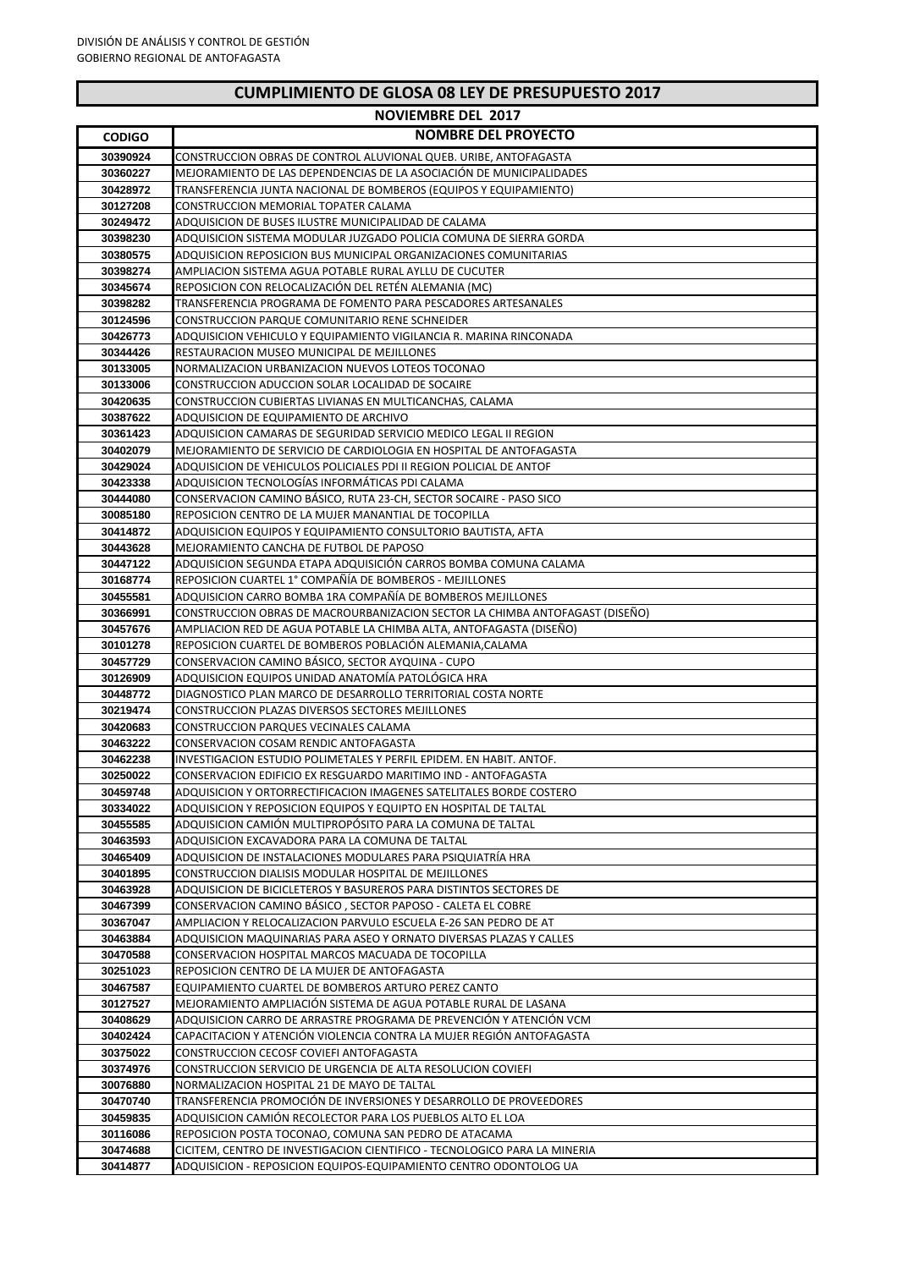|  | <b>CUMPLIMIENTO DE GLOSA 08 LEY DE PRESUPUESTO 2017</b> |
|--|---------------------------------------------------------|
|--|---------------------------------------------------------|

|                      | <b>NOVIEMBRE DEL 2017</b>                                                                                                            |
|----------------------|--------------------------------------------------------------------------------------------------------------------------------------|
| <b>CODIGO</b>        | <b>NOMBRE DEL PROYECTO</b>                                                                                                           |
| 30390924             | CONSTRUCCION OBRAS DE CONTROL ALUVIONAL QUEB. URIBE, ANTOFAGASTA                                                                     |
| 30360227             | MEJORAMIENTO DE LAS DEPENDENCIAS DE LA ASOCIACIÓN DE MUNICIPALIDADES                                                                 |
| 30428972             | TRANSFERENCIA JUNTA NACIONAL DE BOMBEROS (EQUIPOS Y EQUIPAMIENTO)                                                                    |
| 30127208             | CONSTRUCCION MEMORIAL TOPATER CALAMA                                                                                                 |
| 30249472             | ADQUISICION DE BUSES ILUSTRE MUNICIPALIDAD DE CALAMA                                                                                 |
| 30398230             | ADQUISICION SISTEMA MODULAR JUZGADO POLICIA COMUNA DE SIERRA GORDA                                                                   |
| 30380575             | ADQUISICION REPOSICION BUS MUNICIPAL ORGANIZACIONES COMUNITARIAS                                                                     |
| 30398274             | AMPLIACION SISTEMA AGUA POTABLE RURAL AYLLU DE CUCUTER                                                                               |
| 30345674             | REPOSICION CON RELOCALIZACIÓN DEL RETÉN ALEMANIA (MC)                                                                                |
| 30398282             | TRANSFERENCIA PROGRAMA DE FOMENTO PARA PESCADORES ARTESANALES                                                                        |
| 30124596             | CONSTRUCCION PARQUE COMUNITARIO RENE SCHNEIDER                                                                                       |
| 30426773             | ADQUISICION VEHICULO Y EQUIPAMIENTO VIGILANCIA R. MARINA RINCONADA                                                                   |
| 30344426             | RESTAURACION MUSEO MUNICIPAL DE MEJILLONES                                                                                           |
| 30133005             | NORMALIZACION URBANIZACION NUEVOS LOTEOS TOCONAO                                                                                     |
| 30133006             | CONSTRUCCION ADUCCION SOLAR LOCALIDAD DE SOCAIRE                                                                                     |
| 30420635             | CONSTRUCCION CUBIERTAS LIVIANAS EN MULTICANCHAS, CALAMA                                                                              |
| 30387622             | ADQUISICION DE EQUIPAMIENTO DE ARCHIVO                                                                                               |
| 30361423             | ADQUISICION CAMARAS DE SEGURIDAD SERVICIO MEDICO LEGAL II REGION                                                                     |
| 30402079             | MEJORAMIENTO DE SERVICIO DE CARDIOLOGIA EN HOSPITAL DE ANTOFAGASTA                                                                   |
| 30429024<br>30423338 | ADQUISICION DE VEHICULOS POLICIALES PDI II REGION POLICIAL DE ANTOF<br>ADQUISICION TECNOLOGÍAS INFORMÁTICAS PDI CALAMA               |
| 30444080             | CONSERVACION CAMINO BASICO, RUTA 23-CH, SECTOR SOCAIRE - PASO SICO                                                                   |
| 30085180             | REPOSICION CENTRO DE LA MUJER MANANTIAL DE TOCOPILLA                                                                                 |
| 30414872             | ADQUISICION EQUIPOS Y EQUIPAMIENTO CONSULTORIO BAUTISTA, AFTA                                                                        |
| 30443628             | MEJORAMIENTO CANCHA DE FUTBOL DE PAPOSO                                                                                              |
| 30447122             | ADQUISICION SEGUNDA ETAPA ADQUISICIÓN CARROS BOMBA COMUNA CALAMA                                                                     |
| 30168774             | REPOSICION CUARTEL 1° COMPAÑÍA DE BOMBEROS - MEJILLONES                                                                              |
| 30455581             | ADQUISICION CARRO BOMBA 1RA COMPAÑÍA DE BOMBEROS MEJILLONES                                                                          |
| 30366991             | CONSTRUCCION OBRAS DE MACROURBANIZACION SECTOR LA CHIMBA ANTOFAGAST (DISEÑO)                                                         |
| 30457676             | AMPLIACION RED DE AGUA POTABLE LA CHIMBA ALTA, ANTOFAGASTA (DISENO)                                                                  |
| 30101278             | REPOSICION CUARTEL DE BOMBEROS POBLACIÓN ALEMANIA, CALAMA                                                                            |
| 30457729             | CONSERVACION CAMINO BASICO, SECTOR AYQUINA - CUPO                                                                                    |
| 30126909             | ADQUISICION EQUIPOS UNIDAD ANATOMÍA PATOLÓGICA HRA                                                                                   |
| 30448772             | DIAGNOSTICO PLAN MARCO DE DESARROLLO TERRITORIAL COSTA NORTE                                                                         |
| 30219474             | CONSTRUCCION PLAZAS DIVERSOS SECTORES MEJILLONES                                                                                     |
| 30420683             | CONSTRUCCION PARQUES VECINALES CALAMA                                                                                                |
| 30463222             | CONSERVACION COSAM RENDIC ANTOFAGASTA                                                                                                |
| 30462238<br>30250022 | INVESTIGACION ESTUDIO POLIMETALES Y PERFIL EPIDEM. EN HABIT. ANTOF.                                                                  |
| 30459748             | CONSERVACION EDIFICIO EX RESGUARDO MARITIMO IND - ANTOFAGASTA<br>ADQUISICION Y ORTORRECTIFICACION IMAGENES SATELITALES BORDE COSTERO |
| 30334022             | ADQUISICION Y REPOSICION EQUIPOS Y EQUIPTO EN HOSPITAL DE TALTAL                                                                     |
| 30455585             | ADQUISICION CAMION MULTIPROPOSITO PARA LA COMUNA DE TALTAL                                                                           |
| 30463593             | ADQUISICION EXCAVADORA PARA LA COMUNA DE TALTAL                                                                                      |
| 30465409             | ADQUISICION DE INSTALACIONES MODULARES PARA PSIQUIATRÍA HRA                                                                          |
| 30401895             | CONSTRUCCION DIALISIS MODULAR HOSPITAL DE MEJILLONES                                                                                 |
| 30463928             | ADQUISICION DE BICICLETEROS Y BASUREROS PARA DISTINTOS SECTORES DE                                                                   |
| 30467399             | CONSERVACION CAMINO BASICO, SECTOR PAPOSO - CALETA EL COBRE                                                                          |
| 30367047             | AMPLIACION Y RELOCALIZACION PARVULO ESCUELA E-26 SAN PEDRO DE AT                                                                     |
| 30463884             | ADQUISICION MAQUINARIAS PARA ASEO Y ORNATO DIVERSAS PLAZAS Y CALLES                                                                  |
| 30470588             | CONSERVACION HOSPITAL MARCOS MACUADA DE TOCOPILLA                                                                                    |
| 30251023             | REPOSICION CENTRO DE LA MUJER DE ANTOFAGASTA                                                                                         |
| 30467587             | EQUIPAMIENTO CUARTEL DE BOMBEROS ARTURO PEREZ CANTO                                                                                  |
| 30127527             | MEJORAMIENTO AMPLIACIÓN SISTEMA DE AGUA POTABLE RURAL DE LASANA                                                                      |
| 30408629             | ADQUISICION CARRO DE ARRASTRE PROGRAMA DE PREVENCIÓN Y ATENCIÓN VCM                                                                  |
| 30402424             | CAPACITACION Y ATENCIÓN VIOLENCIA CONTRA LA MUJER REGIÓN ANTOFAGASTA                                                                 |
| 30375022             | CONSTRUCCION CECOSF COVIEFI ANTOFAGASTA                                                                                              |
| 30374976<br>30076880 | CONSTRUCCION SERVICIO DE URGENCIA DE ALTA RESOLUCION COVIEFI<br>NORMALIZACION HOSPITAL 21 DE MAYO DE TALTAL                          |
| 30470740             | TRANSFERENCIA PROMOCIÓN DE INVERSIONES Y DESARROLLO DE PROVEEDORES                                                                   |
| 30459835             | ADQUISICION CAMIÓN RECOLECTOR PARA LOS PUEBLOS ALTO EL LOA                                                                           |
| 30116086             | REPOSICION POSTA TOCONAO, COMUNA SAN PEDRO DE ATACAMA                                                                                |
| 30474688             | CICITEM, CENTRO DE INVESTIGACION CIENTIFICO - TECNOLOGICO PARA LA MINERIA                                                            |
| 30414877             | ADQUISICION - REPOSICION EQUIPOS-EQUIPAMIENTO CENTRO ODONTOLOG UA                                                                    |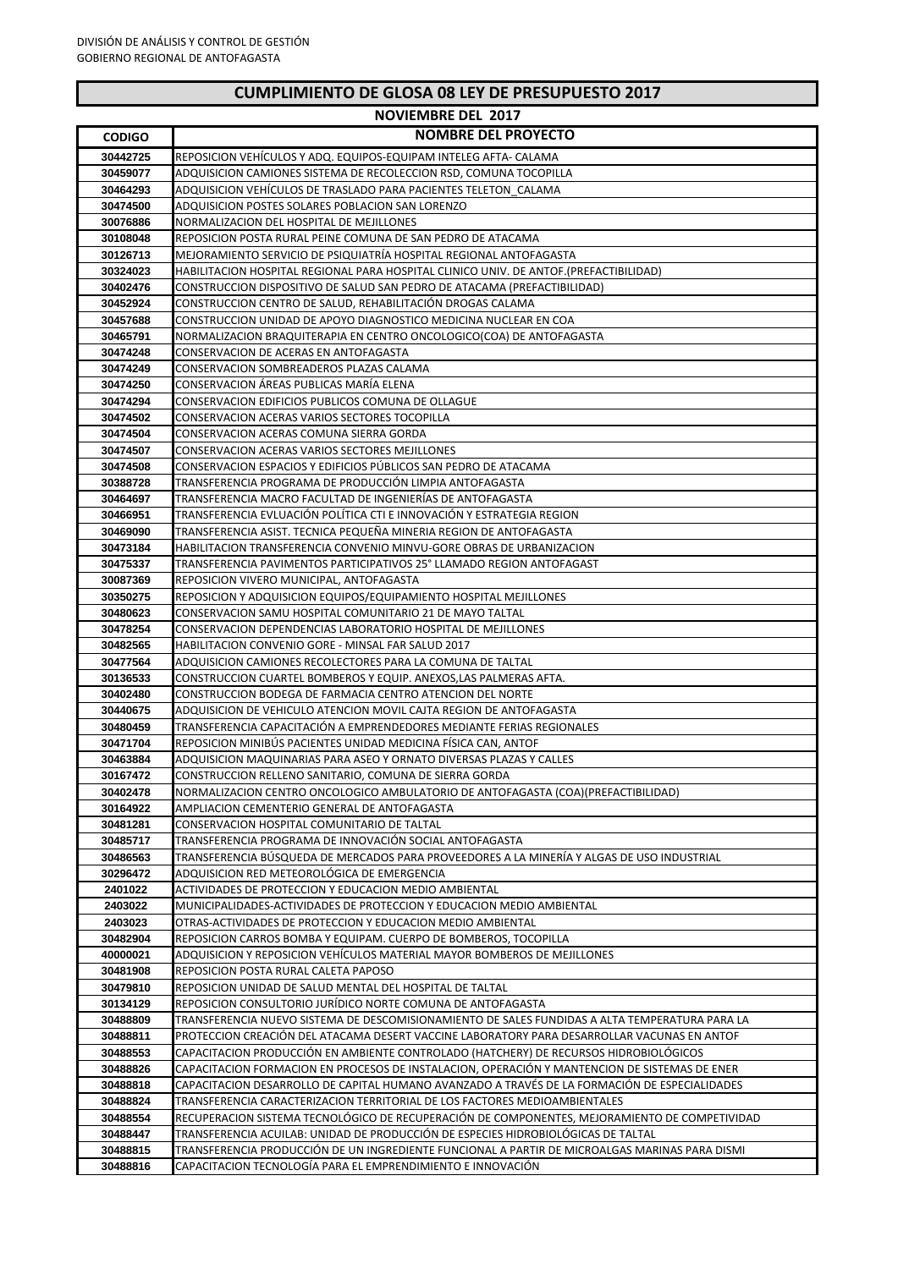|  | <b>CUMPLIMIENTO DE GLOSA 08 LEY DE PRESUPUESTO 2017</b> |
|--|---------------------------------------------------------|
|--|---------------------------------------------------------|

|                      | <b>NOVIEMBRE DEL 2017</b>                                                                                                                                                          |
|----------------------|------------------------------------------------------------------------------------------------------------------------------------------------------------------------------------|
| <b>CODIGO</b>        | <b>NOMBRE DEL PROYECTO</b>                                                                                                                                                         |
| 30442725             | REPOSICION VEHÍCULOS Y ADQ. EQUIPOS-EQUIPAM INTELEG AFTA- CALAMA                                                                                                                   |
| 30459077             | ADQUISICION CAMIONES SISTEMA DE RECOLECCION RSD, COMUNA TOCOPILLA                                                                                                                  |
| 30464293             | ADQUISICION VEHÍCULOS DE TRASLADO PARA PACIENTES TELETON CALAMA                                                                                                                    |
| 30474500             | ADQUISICION POSTES SOLARES POBLACION SAN LORENZO                                                                                                                                   |
| 30076886             | NORMALIZACION DEL HOSPITAL DE MEJILLONES                                                                                                                                           |
| 30108048             | REPOSICION POSTA RURAL PEINE COMUNA DE SAN PEDRO DE ATACAMA                                                                                                                        |
| 30126713             | MEJORAMIENTO SERVICIO DE PSIQUIATRIA HOSPITAL REGIONAL ANTOFAGASTA                                                                                                                 |
| 30324023             | HABILITACION HOSPITAL REGIONAL PARA HOSPITAL CLINICO UNIV. DE ANTOF.(PREFACTIBILIDAD)                                                                                              |
| 30402476             | CONSTRUCCION DISPOSITIVO DE SALUD SAN PEDRO DE ATACAMA (PREFACTIBILIDAD)                                                                                                           |
| 30452924             | CONSTRUCCION CENTRO DE SALUD, REHABILITACIÓN DROGAS CALAMA                                                                                                                         |
| 30457688             | CONSTRUCCION UNIDAD DE APOYO DIAGNOSTICO MEDICINA NUCLEAR EN COA                                                                                                                   |
| 30465791             | NORMALIZACION BRAQUITERAPIA EN CENTRO ONCOLOGICO(COA) DE ANTOFAGASTA                                                                                                               |
| 30474248             | CONSERVACION DE ACERAS EN ANTOFAGASTA                                                                                                                                              |
| 30474249             | CONSERVACION SOMBREADEROS PLAZAS CALAMA                                                                                                                                            |
| 30474250             | CONSERVACION ÁREAS PUBLICAS MARÍA ELENA                                                                                                                                            |
| 30474294             | CONSERVACION EDIFICIOS PUBLICOS COMUNA DE OLLAGUE                                                                                                                                  |
| 30474502             | CONSERVACION ACERAS VARIOS SECTORES TOCOPILLA                                                                                                                                      |
| 30474504             | CONSERVACION ACERAS COMUNA SIERRA GORDA                                                                                                                                            |
| 30474507<br>30474508 | CONSERVACION ACERAS VARIOS SECTORES MEJILLONES<br>CONSERVACION ESPACIOS Y EDIFICIOS PÚBLICOS SAN PEDRO DE ATACAMA                                                                  |
| 30388728             | TRANSFERENCIA PROGRAMA DE PRODUCCIÓN LIMPIA ANTOFAGASTA                                                                                                                            |
| 30464697             | TRANSFERENCIA MACRO FACULTAD DE INGENIERÍAS DE ANTOFAGASTA                                                                                                                         |
| 30466951             | TRANSFERENCIA EVLUACIÓN POLÍTICA CTI E INNOVACIÓN Y ESTRATEGIA REGION                                                                                                              |
| 30469090             | TRANSFERENCIA ASIST. TECNICA PEQUEÑA MINERIA REGION DE ANTOFAGASTA                                                                                                                 |
| 30473184             | HABILITACION TRANSFERENCIA CONVENIO MINVU-GORE OBRAS DE URBANIZACION                                                                                                               |
| 30475337             | TRANSFERENCIA PAVIMENTOS PARTICIPATIVOS 25° LLAMADO REGION ANTOFAGAST                                                                                                              |
| 30087369             | REPOSICION VIVERO MUNICIPAL, ANTOFAGASTA                                                                                                                                           |
| 30350275             | REPOSICION Y ADQUISICION EQUIPOS/EQUIPAMIENTO HOSPITAL MEJILLONES                                                                                                                  |
| 30480623             | CONSERVACION SAMU HOSPITAL COMUNITARIO 21 DE MAYO TALTAL                                                                                                                           |
| 30478254             | CONSERVACION DEPENDENCIAS LABORATORIO HOSPITAL DE MEJILLONES                                                                                                                       |
| 30482565             | HABILITACION CONVENIO GORE - MINSAL FAR SALUD 2017                                                                                                                                 |
| 30477564             | ADQUISICION CAMIONES RECOLECTORES PARA LA COMUNA DE TALTAL                                                                                                                         |
| 30136533             | CONSTRUCCION CUARTEL BOMBEROS Y EQUIP. ANEXOS,LAS PALMERAS AFTA.                                                                                                                   |
| 30402480             | CONSTRUCCION BODEGA DE FARMACIA CENTRO ATENCION DEL NORTE                                                                                                                          |
| 30440675             | ADQUISICION DE VEHICULO ATENCION MOVIL CAJTA REGION DE ANTOFAGASTA                                                                                                                 |
| 30480459             | TRANSFERENCIA CAPACITACIÓN A EMPRENDEDORES MEDIANTE FERIAS REGIONALES                                                                                                              |
| 30471704             | REPOSICION MINIBUS PACIENTES UNIDAD MEDICINA FISICA CAN, ANTOF                                                                                                                     |
| 30463884             | ADQUISICION MAQUINARIAS PARA ASEO Y ORNATO DIVERSAS PLAZAS Y CALLES                                                                                                                |
| 30167472<br>30402478 | CONSTRUCCION RELLENO SANITARIO, COMUNA DE SIERRA GORDA                                                                                                                             |
| 30164922             | NORMALIZACION CENTRO ONCOLOGICO AMBULATORIO DE ANTOFAGASTA (COA)(PREFACTIBILIDAD)<br>AMPLIACION CEMENTERIO GENERAL DE ANTOFAGASTA                                                  |
| 30481281             | CONSERVACION HOSPITAL COMUNITARIO DE TALTAL                                                                                                                                        |
| 30485717             | TRANSFERENCIA PROGRAMA DE INNOVACIÓN SOCIAL ANTOFAGASTA                                                                                                                            |
| 30486563             | TRANSFERENCIA BÚSQUEDA DE MERCADOS PARA PROVEEDORES A LA MINERÍA Y ALGAS DE USO INDUSTRIAL                                                                                         |
| 30296472             | ADQUISICION RED METEOROLÓGICA DE EMERGENCIA                                                                                                                                        |
| 2401022              | ACTIVIDADES DE PROTECCION Y EDUCACION MEDIO AMBIENTAL                                                                                                                              |
| 2403022              | MUNICIPALIDADES-ACTIVIDADES DE PROTECCION Y EDUCACION MEDIO AMBIENTAL                                                                                                              |
| 2403023              | OTRAS-ACTIVIDADES DE PROTECCION Y EDUCACION MEDIO AMBIENTAL                                                                                                                        |
| 30482904             | REPOSICION CARROS BOMBA Y EQUIPAM. CUERPO DE BOMBEROS, TOCOPILLA                                                                                                                   |
| 40000021             | ADQUISICION Y REPOSICION VEHÍCULOS MATERIAL MAYOR BOMBEROS DE MEJILLONES                                                                                                           |
| 30481908             | REPOSICION POSTA RURAL CALETA PAPOSO                                                                                                                                               |
| 30479810             | REPOSICION UNIDAD DE SALUD MENTAL DEL HOSPITAL DE TALTAL                                                                                                                           |
| 30134129             | REPOSICION CONSULTORIO JURÍDICO NORTE COMUNA DE ANTOFAGASTA                                                                                                                        |
| 30488809             | TRANSFERENCIA NUEVO SISTEMA DE DESCOMISIONAMIENTO DE SALES FUNDIDAS A ALTA TEMPERATURA PARA LA                                                                                     |
| 30488811             | PROTECCION CREACIÓN DEL ATACAMA DESERT VACCINE LABORATORY PARA DESARROLLAR VACUNAS EN ANTOF                                                                                        |
| 30488553             | CAPACITACION PRODUCCIÓN EN AMBIENTE CONTROLADO (HATCHERY) DE RECURSOS HIDROBIOLÓGICOS                                                                                              |
| 30488826             | CAPACITACION FORMACION EN PROCESOS DE INSTALACION, OPERACION Y MANTENCION DE SISTEMAS DE ENER                                                                                      |
| 30488818             | CAPACITACION DESARROLLO DE CAPITAL HUMANO AVANZADO A TRAVÉS DE LA FORMACIÓN DE ESPECIALIDADES                                                                                      |
| 30488824             | TRANSFERENCIA CARACTERIZACION TERRITORIAL DE LOS FACTORES MEDIOAMBIENTALES                                                                                                         |
| 30488554             | RECUPERACION SISTEMA TECNOLÓGICO DE RECUPERACIÓN DE COMPONENTES, MEJORAMIENTO DE COMPETIVIDAD<br>TRANSFERENCIA ACUILAB: UNIDAD DE PRODUCCIÓN DE ESPECIES HIDROBIOLÓGICAS DE TALTAL |
| 30488447<br>30488815 | TRANSFERENCIA PRODUCCIÓN DE UN INGREDIENTE FUNCIONAL A PARTIR DE MICROALGAS MARINAS PARA DISMI                                                                                     |
| 30488816             | CAPACITACION TECNOLOGÍA PARA EL EMPRENDIMIENTO E INNOVACIÓN                                                                                                                        |
|                      |                                                                                                                                                                                    |